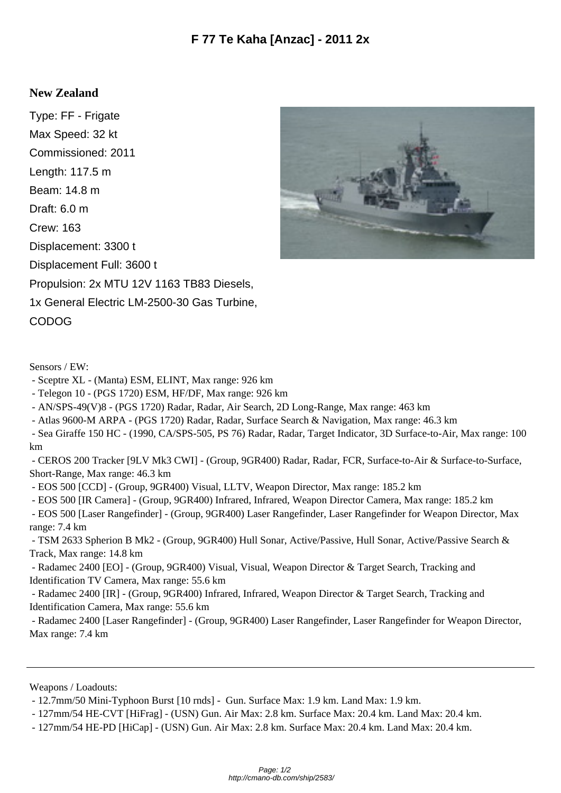## **New Zealand**

Type: FF - Frigate Max Speed: 32 kt Commissioned: 2011 Length: 117.5 m Beam: 14.8 m Draft: 6.0 m Crew: 163 Displacement: 3300 t Displacement Full: 3600 t Propulsion: 2x MTU 12V 1163 TB83 Diesels, 1x General Electric LM-2500-30 Gas Turbine, CODOG



Sensors / EW:

- Sceptre XL - (Manta) ESM, ELINT, Max range: 926 km

- Telegon 10 - (PGS 1720) ESM, HF/DF, Max range: 926 km

- AN/SPS-49(V)8 - (PGS 1720) Radar, Radar, Air Search, 2D Long-Range, Max range: 463 km

- Atlas 9600-M ARPA - (PGS 1720) Radar, Radar, Surface Search & Navigation, Max range: 46.3 km

 - Sea Giraffe 150 HC - (1990, CA/SPS-505, PS 76) Radar, Radar, Target Indicator, 3D Surface-to-Air, Max range: 100 km

 - CEROS 200 Tracker [9LV Mk3 CWI] - (Group, 9GR400) Radar, Radar, FCR, Surface-to-Air & Surface-to-Surface, Short-Range, Max range: 46.3 km

- EOS 500 [CCD] - (Group, 9GR400) Visual, LLTV, Weapon Director, Max range: 185.2 km

- EOS 500 [IR Camera] - (Group, 9GR400) Infrared, Infrared, Weapon Director Camera, Max range: 185.2 km

 - EOS 500 [Laser Rangefinder] - (Group, 9GR400) Laser Rangefinder, Laser Rangefinder for Weapon Director, Max range: 7.4 km

 - TSM 2633 Spherion B Mk2 - (Group, 9GR400) Hull Sonar, Active/Passive, Hull Sonar, Active/Passive Search & Track, Max range: 14.8 km

 - Radamec 2400 [EO] - (Group, 9GR400) Visual, Visual, Weapon Director & Target Search, Tracking and Identification TV Camera, Max range: 55.6 km

 - Radamec 2400 [IR] - (Group, 9GR400) Infrared, Infrared, Weapon Director & Target Search, Tracking and Identification Camera, Max range: 55.6 km

 - Radamec 2400 [Laser Rangefinder] - (Group, 9GR400) Laser Rangefinder, Laser Rangefinder for Weapon Director, Max range: 7.4 km

Weapons / Loadouts:

- 12.7mm/50 Mini-Typhoon Burst [10 rnds] - Gun. Surface Max: 1.9 km. Land Max: 1.9 km.

- 127mm/54 HE-CVT [HiFrag] - (USN) Gun. Air Max: 2.8 km. Surface Max: 20.4 km. Land Max: 20.4 km.

- 127mm/54 HE-PD [HiCap] - (USN) Gun. Air Max: 2.8 km. Surface Max: 20.4 km. Land Max: 20.4 km.